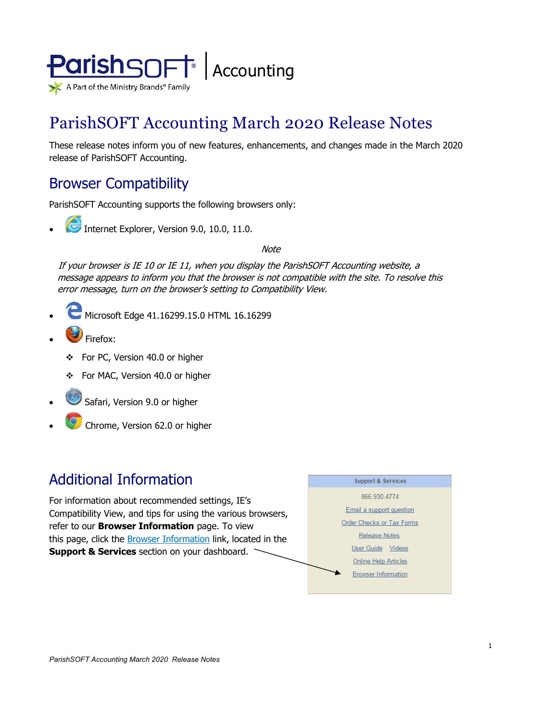

# ParishSOFT Accounting March 2020 Release Notes

These release notes inform you of new features, enhancements, and changes made in the March 2020 release of ParishSOFT Accounting.

## Browser Compatibility

ParishSOFT Accounting supports the following browsers only:

**• Internet Explorer, Version 9.0, 10.0, 11.0.** 

**Note** 

If your browser is IE 10 or IE 11, when you display the ParishSOFT Accounting website, a message appears to inform you that the browser is not compatible with the site. To resolve this error message, turn on the browser's setting to Compatibility View.

- Microsoft Edge 41.16299.15.0 HTML 16.16299
- Firefox:
	- For PC, Version 40.0 or higher
	- For MAC, Version 40.0 or higher
- Safari, Version 9.0 or higher
- Chrome, Version 62.0 or higher

## Additional Information

For information about recommended settings, IE's Compatibility View, and tips for using the various browsers, refer to our **Browser Information** page. To view this page, click the **Browser Information** link, located in the **Support & Services** section on your dashboard.

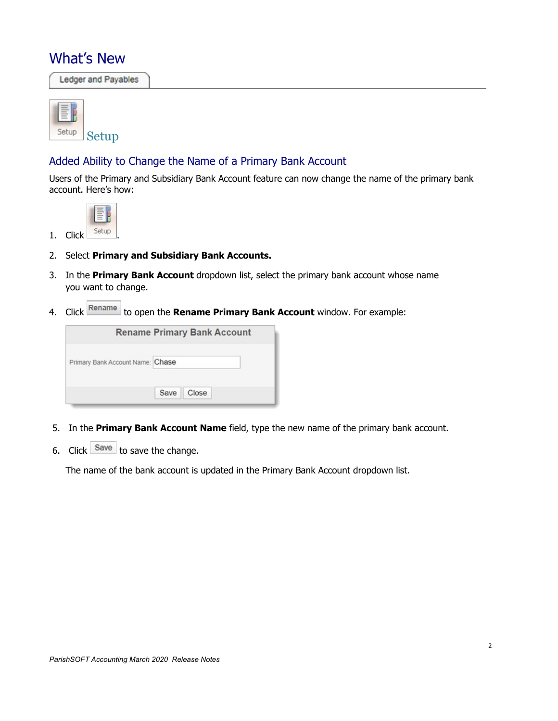## What's New

**Ledger and Payables** 



#### Added Ability to Change the Name of a Primary Bank Account

Users of the Primary and Subsidiary Bank Account feature can now change the name of the primary bank account. Here's how:



- 2. Select **Primary and Subsidiary Bank Accounts.**
- 3. In the **Primary Bank Account** dropdown list, select the primary bank account whose name you want to change.
- 4. Click Rename to open the **Rename Primary Bank Account** window. For example:

|                                  |      | <b>Rename Primary Bank Account</b> |  |
|----------------------------------|------|------------------------------------|--|
| Primary Bank Account Name: Chase |      |                                    |  |
|                                  | Save | Close                              |  |

- 5. In the **Primary Bank Account Name** field, type the new name of the primary bank account.
- 6. Click  $\frac{Save}{}$  to save the change.

The name of the bank account is updated in the Primary Bank Account dropdown list.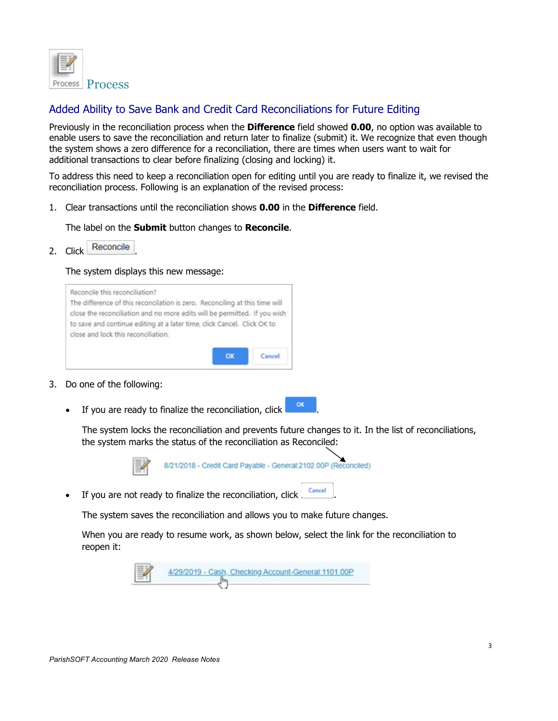

### Added Ability to Save Bank and Credit Card Reconciliations for Future Editing

Previously in the reconciliation process when the **Difference** field showed **0.00**, no option was available to enable users to save the reconciliation and return later to finalize (submit) it. We recognize that even though the system shows a zero difference for a reconciliation, there are times when users want to wait for additional transactions to clear before finalizing (closing and locking) it.

To address this need to keep a reconciliation open for editing until you are ready to finalize it, we revised the reconciliation process. Following is an explanation of the revised process:

1. Clear transactions until the reconciliation shows **0.00** in the **Difference** field.

The label on the **Submit** button changes to **Reconcile**.

2. Click Reconcile

#### The system displays this new message:



- 3. Do one of the following:
	- If you are ready to finalize the reconciliation,  $\text{click}$  are

The system locks the reconciliation and prevents future changes to it. In the list of reconciliations, the system marks the status of the reconciliation as Reconciled:



• If you are not ready to finalize the reconciliation, click  $\left| \right|$  Cancel

The system saves the reconciliation and allows you to make future changes.

When you are ready to resume work, as shown below, select the link for the reconciliation to reopen it:

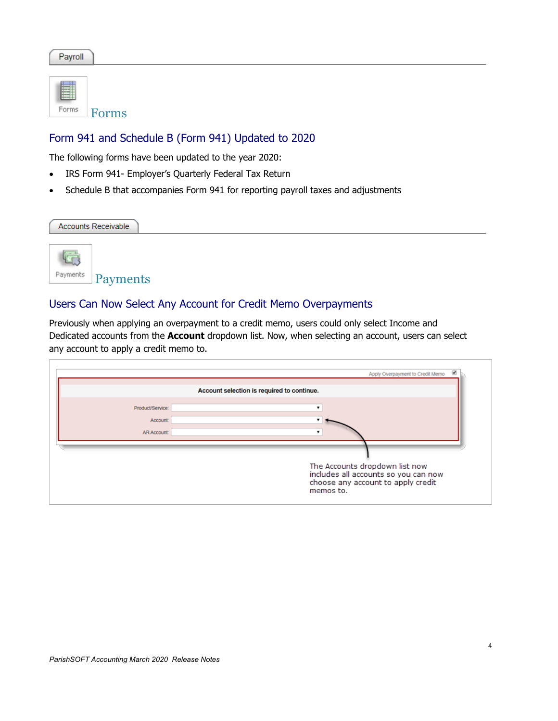Payroll

| Enrms | Forms |
|-------|-------|

### Form 941 and Schedule B (Form 941) Updated to 2020

The following forms have been updated to the year 2020:

- IRS Form 941- Employer's Quarterly Federal Tax Return
- Schedule B that accompanies Form 941 for reporting payroll taxes and adjustments

| <b>Accounts Receivable</b>                                    |  |  |
|---------------------------------------------------------------|--|--|
| <b>KER</b><br>Payments<br>Payments                            |  |  |
| Users Can Now Select Any Account for Credit Memo Overpayments |  |  |

Previously when applying an overpayment to a credit memo, users could only select Income and Dedicated accounts from the **Account** dropdown list. Now, when selecting an account, users can select any account to apply a credit memo to.

|                                                   | ⋓<br>Apply Overpayment to Credit Memo                                                                                     |
|---------------------------------------------------|---------------------------------------------------------------------------------------------------------------------------|
|                                                   | Account selection is required to continue.                                                                                |
| Product/Service:<br>Account<br><b>AR Account:</b> |                                                                                                                           |
|                                                   | The Accounts dropdown list now<br>includes all accounts so you can now<br>choose any account to apply credit<br>memos to. |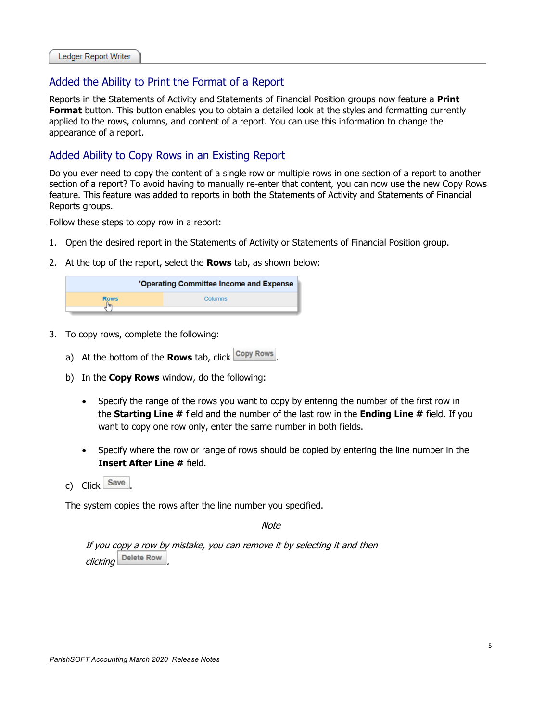#### Added the Ability to Print the Format of a Report

Reports in the Statements of Activity and Statements of Financial Position groups now feature a **Print Format** button. This button enables you to obtain a detailed look at the styles and formatting currently applied to the rows, columns, and content of a report. You can use this information to change the appearance of a report.

#### Added Ability to Copy Rows in an Existing Report

Do you ever need to copy the content of a single row or multiple rows in one section of a report to another section of a report? To avoid having to manually re-enter that content, you can now use the new Copy Rows feature. This feature was added to reports in both the Statements of Activity and Statements of Financial Reports groups.

Follow these steps to copy row in a report:

- 1. Open the desired report in the Statements of Activity or Statements of Financial Position group.
- 2. At the top of the report, select the **Rows** tab, as shown below:

|             | 'Operating Committee Income and Expense |
|-------------|-----------------------------------------|
| <b>Rows</b> | Columns                                 |

- 3. To copy rows, complete the following:
	- a) At the bottom of the **Rows** tab, click copy Rows
	- b) In the **Copy Rows** window, do the following:
		- Specify the range of the rows you want to copy by entering the number of the first row in the **Starting Line #** field and the number of the last row in the **Ending Line #** field. If you want to copy one row only, enter the same number in both fields.
		- Specify where the row or range of rows should be copied by entering the line number in the **Insert After Line #** field.
	- c) Click Save

The system copies the rows after the line number you specified.

Note

If you copy a row by mistake, you can remove it by selecting it and then clicking Delete Row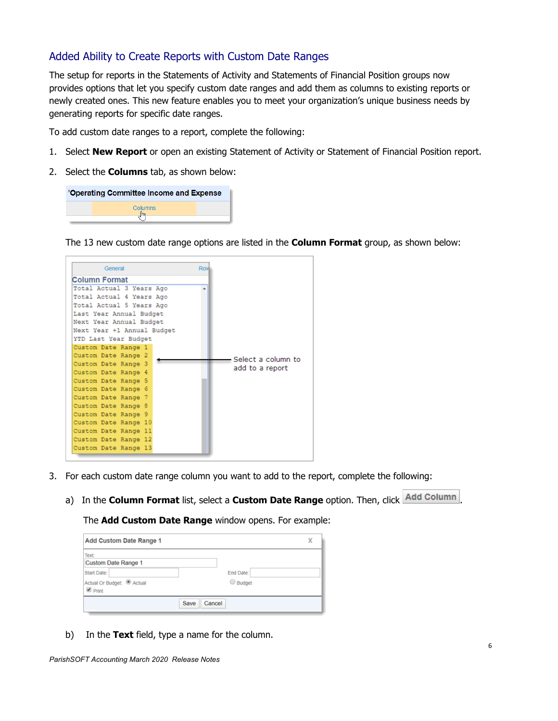#### Added Ability to Create Reports with Custom Date Ranges

The setup for reports in the Statements of Activity and Statements of Financial Position groups now provides options that let you specify custom date ranges and add them as columns to existing reports or newly created ones. This new feature enables you to meet your organization's unique business needs by generating reports for specific date ranges.

To add custom date ranges to a report, complete the following:

- 1. Select **New Report** or open an existing Statement of Activity or Statement of Financial Position report.
- 2. Select the **Columns** tab, as shown below:

| 'Operating Committee Income and Expense |  |
|-----------------------------------------|--|
| Columns                                 |  |
|                                         |  |

The 13 new custom date range options are listed in the **Column Format** group, as shown below:

| General                    | Row                |
|----------------------------|--------------------|
| <b>Column Format</b>       |                    |
| Total Actual 3 Years Ago   |                    |
| Total Actual 4 Years Ago   |                    |
| Total Actual 5 Years Ago   |                    |
| Last Year Annual Budget    |                    |
| Next Year Annual Budget    |                    |
| Next Year +1 Annual Budget |                    |
| YTD Last Year Budget       |                    |
| Custom Date Range 1        |                    |
| Custom Date Range 2        | Select a column to |
| Custom Date Range 3        | add to a report    |
| Custom Date Range 4        |                    |
| Custom Date Range 5        |                    |
| Custom Date Range 6        |                    |
| Custom Date Range 7        |                    |
| Custom Date Range 8        |                    |
| Custom Date Range 9        |                    |
| Custom Date Range 10       |                    |
| Custom Date Range 11       |                    |
| Custom Date Range 12       |                    |
| Custom Date Range 13       |                    |
|                            |                    |

- 3. For each custom date range column you want to add to the report, complete the following:
	- a) In the **Column Format** list, select a **Custom Date Range** option. Then, click **Add Column**

The **Add Custom Date Range** window opens. For example:

| <b>Add Custom Date Range 1</b>                                               |                       | χ |
|------------------------------------------------------------------------------|-----------------------|---|
| Text:<br><b>Custom Date Range 1</b>                                          |                       |   |
| Start Date:<br>Actual Or Budget: <sup>1</sup> Actual<br>$\blacksquare$ Print | End Date:<br>G Budget |   |
|                                                                              | Cancel<br>Save        |   |

b) In the **Text** field, type a name for the column.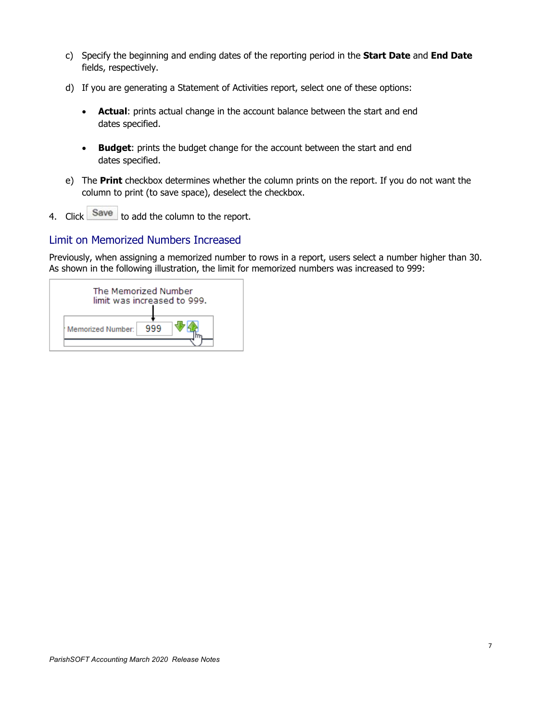- c) Specify the beginning and ending dates of the reporting period in the **Start Date** and **End Date** fields, respectively.
- d) If you are generating a Statement of Activities report, select one of these options:
	- **Actual**: prints actual change in the account balance between the start and end dates specified.
	- **Budget**: prints the budget change for the account between the start and end dates specified.
- e) The **Print** checkbox determines whether the column prints on the report. If you do not want the column to print (to save space), deselect the checkbox.
- 4. Click Save to add the column to the report.

#### Limit on Memorized Numbers Increased

Previously, when assigning a memorized number to rows in a report, users select a number higher than 30. As shown in the following illustration, the limit for memorized numbers was increased to 999:

| The Memorized Number<br>limit was increased to 999. |     |  |
|-----------------------------------------------------|-----|--|
| Memorized Number:                                   | 999 |  |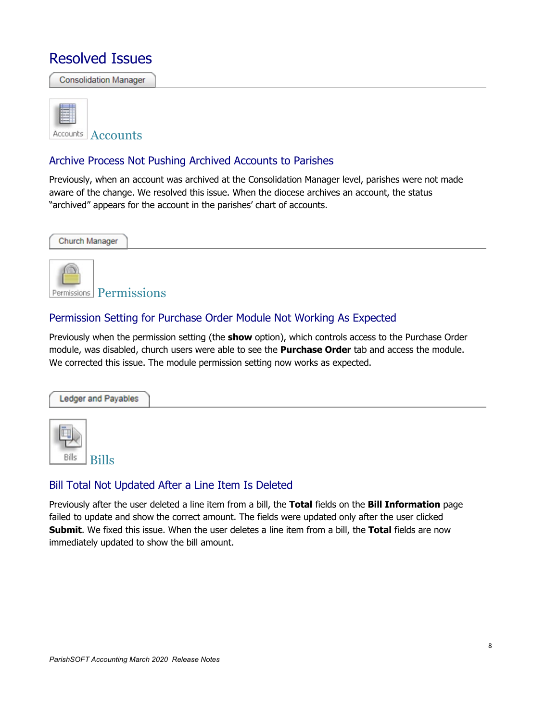## Resolved Issues

**Consolidation Manager** 



#### Archive Process Not Pushing Archived Accounts to Parishes

Previously, when an account was archived at the Consolidation Manager level, parishes were not made aware of the change. We resolved this issue. When the diocese archives an account, the status "archived" appears for the account in the parishes' chart of accounts.



#### Permission Setting for Purchase Order Module Not Working As Expected

Previously when the permission setting (the **show** option), which controls access to the Purchase Order module, was disabled, church users were able to see the **Purchase Order** tab and access the module. We corrected this issue. The module permission setting now works as expected.





#### Bill Total Not Updated After a Line Item Is Deleted

Previously after the user deleted a line item from a bill, the **Total** fields on the **Bill Information** page failed to update and show the correct amount. The fields were updated only after the user clicked **Submit**. We fixed this issue. When the user deletes a line item from a bill, the **Total** fields are now immediately updated to show the bill amount.